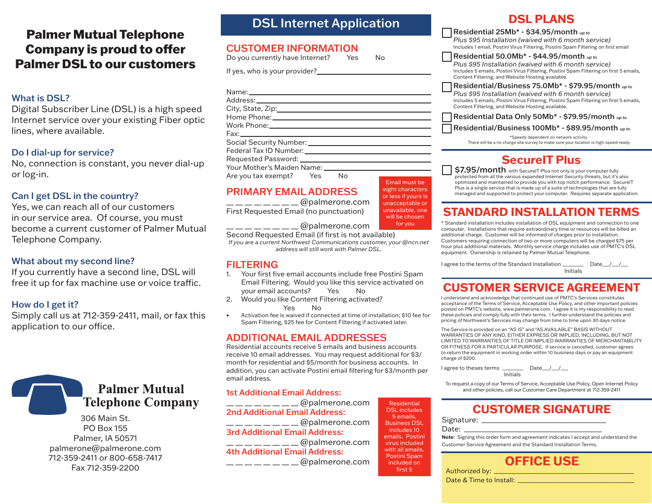# Palmer Mutual Telephone Company is proud to offer Palmer DSL to our customers

#### What is DSL?

Digital Subscriber Line (DSL) is a high speed Internet service over your existing Fiber optic lines, where available.

#### Do I dial-up for service?

No, connection is constant, you never dial-up or log-in.

### Can I get DSL in the country?

Yes, we can reach all of our customers in our service area. Of course, you must become a current customer of Palmer Mutual Telephone Company.

#### What about my second line?

If you currently have a second line, DSL will free it up for fax machine use or voice traffic.

#### How do I get it?

Simply call us at 712-359-2411, mail, or fax this application to our office.



306 Main St. PO Box 155 Palmer, IA 50571 palmerone@palmerone.com 712-359-2411 or 800-658-7417 Fax 712-359-2200

### DSL Internet Application

### CUSTOMER INFORMATION

Do you currently have Internet? Yes No

If yes, who is your provider?

| City, State, Zip: 2000                                            |
|-------------------------------------------------------------------|
|                                                                   |
|                                                                   |
|                                                                   |
|                                                                   |
|                                                                   |
|                                                                   |
| Your Mother's Maiden Name: Van American Material American Materia |
| Are you tax exempt? Yes No                                        |

### PRIMARY EMAIL ADDRESS

 $\overline{\phantom{a}}$  \_ \_ \_ \_ \_ \_ \_ @palmerone.com First Requested Email (no punctuation)

Email must be eight characters or less if yours is unacceptable or unavailable, one will be chosen for you

 $\equiv$  @palmerone.com Second Requested Email (if first is not available)

*If you are a current Northwest Communications customer, your @ncn.net address will still work with Palmer DSL.* 

### FILTERING

- 1. Your first five email accounts include free Postini Spam Email Filtering. Would you like this service activated on your email accounts? Yes No
- 2. Would you like Content Filtering activated? Yes No
- Activation fee is waived if connected at time of installation; \$10 fee for Spam Filtering, \$25 fee for Content Filtering if activated later.

### ADDITIONAL EMAIL ADDRESSES

Residential accounts receive 5 emails and business accounts receive 10 email addresses. You may request additional for \$3/ month for residential and \$5/month for business accounts. In addition, you can activate Postini email filtering for \$3/month per email address.

1st Additional Email Address:  $\frac{1}{2}$   $\frac{1}{2}$   $\frac{1}{2}$   $\frac{1}{2}$   $\frac{1}{2}$   $\frac{1}{2}$   $\frac{1}{2}$   $\frac{1}{2}$   $\frac{1}{2}$   $\frac{1}{2}$   $\frac{1}{2}$   $\frac{1}{2}$   $\frac{1}{2}$   $\frac{1}{2}$   $\frac{1}{2}$   $\frac{1}{2}$   $\frac{1}{2}$   $\frac{1}{2}$   $\frac{1}{2}$   $\frac{1}{2}$   $\frac{1}{2}$   $\frac{1}{2}$  2nd Additional Email Address:  $\frac{1}{2}$   $\frac{1}{2}$   $\frac{1}{2}$   $\frac{1}{2}$   $\frac{1}{2}$   $\frac{1}{2}$   $\frac{1}{2}$   $\frac{1}{2}$   $\frac{1}{2}$   $\frac{1}{2}$   $\frac{1}{2}$   $\frac{1}{2}$   $\frac{1}{2}$   $\frac{1}{2}$   $\frac{1}{2}$   $\frac{1}{2}$   $\frac{1}{2}$   $\frac{1}{2}$   $\frac{1}{2}$   $\frac{1}{2}$   $\frac{1}{2}$   $\frac{1}{2}$  3rd Additional Email Address:  $\mu =$   $\mu =$   $\mu =$   $\mu =$   $\omega$  palmerone.com 4th Additional Email Address:  $\frac{\alpha}{\alpha}$   $\frac{\alpha}{\alpha}$   $\frac{\alpha}{\alpha}$  palmerone.com

Residential DSL includes 5 emails, Business DSL includes 10 emails. Postini virus included with all emails. Postini Spam included on first 5

### **DSL PLANS**

Residential 25Mb\* - \$34.95/month *up to Plus \$95 Installation (waived with 6 month service)* Includes 1 email, Postini Virus Filtering, Postini Spam Filtering on first email

Residential 50.0Mb\* - \$44.95/month *up to*

*Plus \$95 Installation (waived with 6 month service)* Includes 5 emails, Postini Virus Filtering, Postini Spam Filtering on first 5 emails, Content Filtering, and Website Hosting available.

Residential/Business 75.0Mb\* - \$79.95/month *up to Plus \$95 Installation (waived with 6 month service)*

Includes 5 emails, Postini Virus Filtering, Postini Spam Filtering on first 5 emails, Content Filtering, and Website Hosting available.

Residential Data Only 50Mb\* - \$79.95/month *up to*

Residential/Business 100Mb\* - \$89.95/month *up to*

\*Speeds dependent on network activity. There will be a no charge site survey to make sure your location is high-speed-ready

# **SecureIT Plus**

\$7.95/month with SecureIT Plus not only is your computer fully protected from all the various expanded Internet Security threats, but it's also optimized and maintained to provide you with top notch performance. SecureIT Plus is a single service that is made up of a suite of technologies that are fully managed and supported to protect your computer. Requires separate application.

# **STANDARD INSTALLATION TERMS**

\* Standard installation includes installation of DSL equipment and connection to one computer. Installations that require extraordinary time or resources will be billed an additional charge. Customer will be informed of charges prior to installation. Customers requiring connection of two or more computers will be charged \$75 per hour plus additional materials. Monthly service charge includes use of PMTC's DSL equipment. Ownership is retained by Palmer Mutual Telephone.

I agree to the terms of the Standard Installation \_\_\_\_\_\_\_\_\_\_ Date\_\_/\_\_/\_\_ Initials

# **CUSTOMER SERVICE AGREEMENT**

I understand and acknowledge that continued use of PMTC's Services constitutes acceptance of the Terms of Service, Acceptable Use Policy, and other important policies posted on PMTC's website, www.palmerone.com. I agree it is my responsibility to read these policies and comply fully with their terms. I further understand the policies and pricing of Northwest's Services may change from time to time upon 30 days notice.

The Service is provided on an "AS IS" and "AS AVAILABLE" BASIS WITHOUT WARRANTIES OF ANY KIND, EITHER EXPRESS OR IMPLIED, INCLUDING, BUT NOT LIMITED TO WARRANTIES OF TITLE OR IMPLIED WARRANTIES OF MERCHANTABILITY OR FITNESS FOR A PARTICULAR PURPOSE. If service is cancelled, customer agrees to return the equipment in working order within 10 business days or pay an equipment charge of \$200.

I agree to theses terms \_\_\_\_\_\_\_\_\_\_ Date\_\_/\_\_/\_\_ Initials

To request a copy of our Terms of Service, Acceptable Use Policy, Open Internet Policy and other policies, call our Customer Care Department at 712-359-2411

# **CUSTOMER SIGNATURE**

Signature: \_\_\_\_\_\_\_\_\_\_\_\_\_\_\_\_\_\_\_\_\_\_\_\_\_\_\_\_\_\_\_\_\_\_\_\_\_\_

Date:

**Note**: Signing this order form and agreement indicates I accept and understand the Customer Service Agreement and the Standard Installation Terms.



Authorized by: \_\_\_\_\_\_\_\_\_\_\_\_\_\_\_\_\_\_\_\_\_\_\_\_\_\_\_\_\_\_\_\_\_\_\_\_\_\_\_\_\_\_\_\_\_\_\_\_ Date & Time to Install: \_\_\_\_\_\_\_\_\_\_\_\_\_\_\_\_\_\_\_\_\_\_\_\_\_\_\_\_\_\_\_\_\_\_\_\_\_\_\_\_